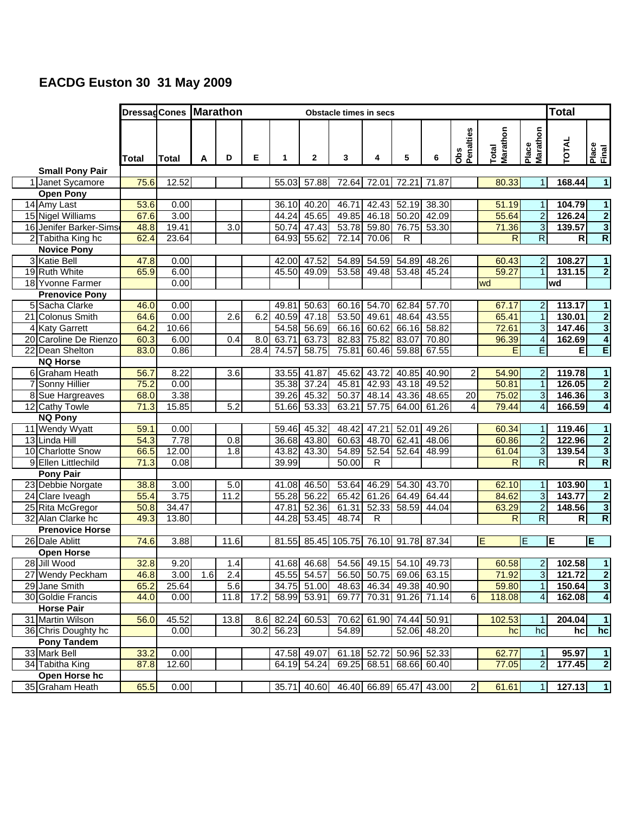## **EACDG Euston 30 31 May 2009**

|                                    |              |       | DressagCones Marathon<br><b>Obstacle times in secs</b> |      |      |                |                 |                                      |             |                         |                         |                         |                   |                                | <b>Total</b>     |                             |  |
|------------------------------------|--------------|-------|--------------------------------------------------------|------|------|----------------|-----------------|--------------------------------------|-------------|-------------------------|-------------------------|-------------------------|-------------------|--------------------------------|------------------|-----------------------------|--|
|                                    | Total        | Total | A                                                      | D    | Е    | 1              | $\mathbf{2}$    | 3                                    | 4           | 5                       | 6                       | Penalties<br><b>Obs</b> | Marathon<br>Total | Marathon<br>Place              | TOTAL            | Place<br>Final              |  |
| <b>Small Pony Pair</b>             |              |       |                                                        |      |      |                |                 |                                      |             |                         |                         |                         |                   |                                |                  |                             |  |
| 1 Janet Sycamore                   | 75.6         | 12.52 |                                                        |      |      | 55.03          | 57.88           |                                      |             | 72.64 72.01 72.21 71.87 |                         |                         | 80.33             | $\mathbf{1}$                   | 168.44           | 1                           |  |
| <b>Open Pony</b>                   |              |       |                                                        |      |      |                |                 |                                      |             |                         |                         |                         |                   |                                |                  |                             |  |
| 14 Amy Last                        | 53.6         | 0.00  |                                                        |      |      | 36.10          | 40.20           | 46.71                                | 42.43       | 52.19                   | 38.30                   |                         | 51.19             | 1                              | 104.79           | $\mathbf{1}$                |  |
| 15 Nigel Williams                  | 67.6         | 3.00  |                                                        |      |      | 44.24          | 45.65           | 49.85                                | 46.18       | 50.20                   | 42.09                   |                         | 55.64             | $\overline{2}$                 | 126.24           | $\overline{2}$              |  |
| 16 Jenifer Barker-Sims             | 48.8         | 19.41 |                                                        | 3.0  |      | 50.74          | 47.43           |                                      | 53.78 59.80 | 76.75                   | 53.30                   |                         | 71.36             | $\overline{3}$                 | 139.57           | $\overline{3}$              |  |
| 2 Tabitha King hc                  | 62.4         | 23.64 |                                                        |      |      | 64.93          | 55.62           | 72.14                                | 70.06       | R                       |                         |                         | R                 | $\overline{\mathsf{R}}$        | $\mathsf{R}$     | $\overline{\mathsf{R}}$     |  |
| <b>Novice Pony</b>                 |              |       |                                                        |      |      |                |                 |                                      |             |                         |                         |                         |                   |                                |                  |                             |  |
| 3 Katie Bell                       | 47.8         | 0.00  |                                                        |      |      | 42.00          | 47.52           |                                      | 54.89 54.59 | 54.89                   | 48.26                   |                         | 60.43             | $\overline{a}$                 | 108.27           | 1                           |  |
| 19 Ruth White                      | 65.9         | 6.00  |                                                        |      |      | 45.50          | 49.09           | 53.58                                | 49.48       | 53.48                   | 45.24                   |                         | 59.27             | $\overline{1}$                 | 131.15           | $\overline{2}$              |  |
| 18 Yvonne Farmer                   |              | 0.00  |                                                        |      |      |                |                 |                                      |             |                         |                         |                         | wd                |                                | wd               |                             |  |
| <b>Prenovice Pony</b>              |              | 0.00  |                                                        |      |      |                | 50.63           |                                      | 54.70       |                         | 57.70                   |                         |                   |                                |                  |                             |  |
| 5 Sacha Clarke<br>21 Colonus Smith | 46.0<br>64.6 | 0.00  |                                                        | 2.6  | 6.2  | 49.81<br>40.59 | 47.18           | 60.16                                | 53.50 49.61 | 62.84<br>48.64          | 43.55                   |                         | 67.17<br>65.41    | $\overline{a}$<br>$\mathbf{1}$ | 113.17<br>130.01 | 1                           |  |
| 4 Katy Garrett                     | 64.2         | 10.66 |                                                        |      |      | 54.58          | 56.69           | 66.16                                | 60.62       | 66.16                   | 58.82                   |                         | 72.61             | $\overline{3}$                 | 147.46           | $\frac{2}{4}$               |  |
| 20 Caroline De Rienzo              | 60.3         | 6.00  |                                                        | 0.4  | 8.0  |                | 63.71 63.73     |                                      | 82.83 75.82 |                         | 83.07 70.80             |                         | 96.39             | $\overline{\mathbf{A}}$        | 162.69           |                             |  |
| 22 Dean Shelton                    | 83.0         | 0.86  |                                                        |      | 28.4 | 74.57          | 58.75           | 75.81                                |             | 60.46 59.88             | 67.55                   |                         | E                 | E                              | E                | E                           |  |
| <b>NQ Horse</b>                    |              |       |                                                        |      |      |                |                 |                                      |             |                         |                         |                         |                   |                                |                  |                             |  |
| 6 Graham Heath                     | 56.7         | 8.22  |                                                        | 3.6  |      | 33.55          | 41.87           | 45.62                                | 43.72       | 40.85                   | 40.90                   | 2                       | 54.90             | $\overline{2}$                 | 119.78           | $\mathbf{1}$                |  |
| 7 Sonny Hillier                    | 75.2         | 0.00  |                                                        |      |      | 35.38          | 37.24           | 45.81                                | 42.93       | 43.18                   | 49.52                   |                         | 50.81             | $\overline{\phantom{a}}$       | 126.05           | $\overline{2}$              |  |
| 8 Sue Hargreaves                   | 68.0         | 3.38  |                                                        |      |      | 39.26          | 45.32           | 50.37                                | 48.14       | 43.36                   | 48.65                   | 20                      | 75.02             | $\overline{3}$                 | 146.36           | $\overline{\mathbf{3}}$     |  |
| 12 Cathy Towle                     | 71.3         | 15.85 |                                                        | 5.2  |      | 51.66          | 53.33           | 63.21                                | 57.75       | 64.00                   | 61.26                   | 4                       | 79.44             | $\overline{4}$                 | 166.59           | $\overline{\bf{4}}$         |  |
| <b>NQ Pony</b>                     |              |       |                                                        |      |      |                |                 |                                      |             |                         |                         |                         |                   |                                |                  |                             |  |
| 11 Wendy Wyatt                     | 59.1         | 0.00  |                                                        |      |      | 59.46          | 45.32           | 48.42                                | 47.21       | 52.01                   | 49.26                   |                         | 60.34             | 1                              | 119.46           | $\mathbf{1}$                |  |
| 13 Linda Hill                      | 54.3         | 7.78  |                                                        | 0.8  |      | 36.68          | 43.80           | 60.63                                | 48.70       | 62.41                   | 48.06                   |                         | 60.86             | $\overline{a}$                 | 122.96           |                             |  |
| 10 Charlotte Snow                  | 66.5         | 12.00 |                                                        | 1.8  |      | 43.82          | 43.30           |                                      | 54.89 52.54 | 52.64                   | 48.99                   |                         | 61.04             | $\overline{3}$                 | 139.54           |                             |  |
| 9 Ellen Littlechild                | 71.3         | 0.08  |                                                        |      |      | 39.99          |                 | $\frac{1}{50.00}$                    | R           |                         |                         |                         | $\overline{R}$    | $\overline{\mathsf{R}}$        | $\mathsf{R}$     | $\frac{2}{3}$ $\frac{3}{R}$ |  |
| <b>Pony Pair</b>                   |              |       |                                                        |      |      |                |                 |                                      |             |                         |                         |                         |                   |                                |                  |                             |  |
| 23 Debbie Norgate                  | 38.8         | 3.00  |                                                        | 5.0  |      | 41.08          | 46.50           | 53.64                                | 46.29       | 54.30                   | 43.70                   |                         | 62.10             | $\mathbf{1}$                   | 103.90           | $\mathbf{1}$                |  |
| 24 Clare Iveagh                    | 55.4         | 3.75  |                                                        | 11.2 |      | 55.28          | 56.22           | 65.42                                | 61.26       | 64.49                   | 64.44                   |                         | 84.62             | $\overline{3}$                 | 143.77           | $\overline{2}$              |  |
| 25 Rita McGregor                   | 50.8         | 34.47 |                                                        |      |      |                | 47.81 52.36     | 61.31                                | 52.33       | 58.59                   | 44.04                   |                         | 63.29             | $\overline{2}$                 | 148.56           | $\overline{\mathbf{3}}$     |  |
| 32 Alan Clarke hc                  | 49.3         | 13.80 |                                                        |      |      | 44.28          | 53.45           | 48.74                                | R           |                         |                         |                         | R                 | $\overline{\mathsf{R}}$        | R                | $\overline{\mathsf{R}}$     |  |
| <b>Prenovice Horse</b>             |              |       |                                                        |      |      |                |                 |                                      |             |                         |                         |                         |                   |                                |                  |                             |  |
| 26 Dale Ablitt                     | 74.6         | 3.88  |                                                        | 11.6 |      |                |                 | 81.55 85.45 105.75 76.10 91.78 87.34 |             |                         |                         |                         | E                 | E                              | E                | E                           |  |
| <b>Open Horse</b>                  |              |       |                                                        |      |      |                |                 |                                      |             |                         |                         |                         |                   |                                |                  |                             |  |
| 28 Jill Wood                       | 32.8         | 9.20  |                                                        | 1.4  |      |                | 41.68 46.68     |                                      |             |                         | 54.56 49.15 54.10 49.73 |                         | 60.58             | 2 <sub>l</sub>                 | 102.58           | 1                           |  |
| 27 Wendy Peckham                   | 46.8         | 3.00  | 1.6                                                    | 2.4  |      |                | 45.55 54.57     |                                      |             |                         | 56.50 50.75 69.06 63.15 |                         | 71.92             | $\overline{3}$                 | 121.72           | $\overline{\mathbf{2}}$     |  |
| 29 Jane Smith                      | 65.2         | 25.64 |                                                        | 5.6  |      |                | 34.75 51.00     |                                      |             |                         | 48.63 46.34 49.38 40.90 |                         | 59.80             | $\mathbf{1}$                   | 150.64           | $\overline{\mathbf{3}}$     |  |
| 30 Goldie Francis                  | 44.0         | 0.00  |                                                        | 11.8 | 17.2 |                | 58.99 53.91     |                                      |             | 69.77 70.31 91.26 71.14 |                         | 6                       | 118.08            | $\overline{\mathbf{r}}$        | 162.08           | $\overline{\mathbf{4}}$     |  |
| <b>Horse Pair</b>                  |              |       |                                                        |      |      |                |                 |                                      |             |                         |                         |                         |                   |                                |                  |                             |  |
| 31 Martin Wilson                   | 56.0         | 45.52 |                                                        | 13.8 |      |                | 8.6 82.24 60.53 |                                      |             | 70.62 61.90 74.44 50.91 |                         |                         | 102.53            | 1                              | 204.04           | $\mathbf{1}$                |  |
| 36 Chris Doughty hc                |              | 0.00  |                                                        |      | 30.2 | 56.23          |                 | 54.89                                |             |                         | 52.06 48.20             |                         | hc                | hc                             | hc               | hc                          |  |
| Pony Tandem                        |              |       |                                                        |      |      |                |                 |                                      |             |                         |                         |                         |                   |                                |                  |                             |  |
| 33 Mark Bell                       | 33.2         | 0.00  |                                                        |      |      | 47.58          | 49.07           |                                      | 61.18 52.72 |                         | 50.96 52.33             |                         | 62.77             | $\mathbf{1}$                   | 95.97            | $\mathbf{1}$                |  |
| 34 Tabitha King                    | 87.8         | 12.60 |                                                        |      |      |                | 64.19 54.24     |                                      |             |                         | 69.25 68.51 68.66 60.40 |                         | 77.05             | $\overline{2}$                 | 177.45           | $\overline{\mathbf{2}}$     |  |
| Open Horse hc                      |              |       |                                                        |      |      |                |                 |                                      |             |                         |                         |                         |                   |                                |                  |                             |  |
| 35 Graham Heath                    | 65.5         | 0.00  |                                                        |      |      |                | 35.71 40.60     |                                      |             |                         | 46.40 66.89 65.47 43.00 | $\mathbf{2}$            | 61.61             | 1                              | 127.13           | $\overline{1}$              |  |